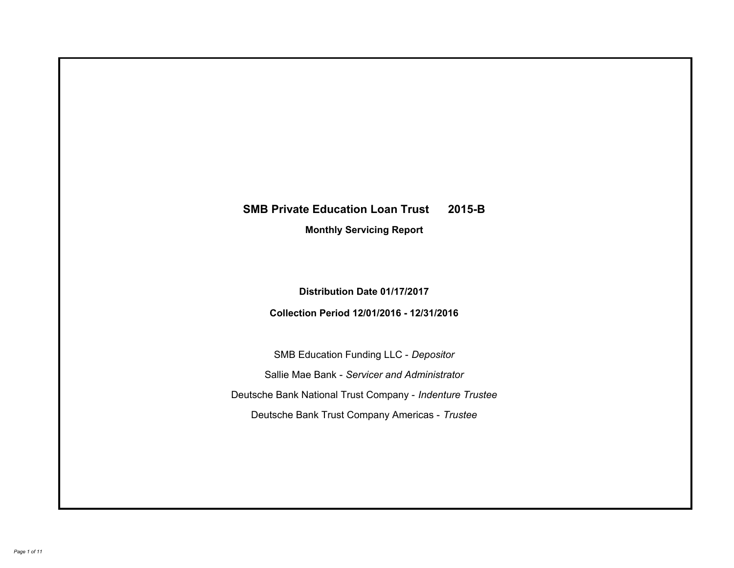# **SMB Private Education Loan Trust 2015-B Monthly Servicing Report**

**Distribution Date 01/17/2017**

**Collection Period 12/01/2016 - 12/31/2016**

SMB Education Funding LLC - *Depositor* Sallie Mae Bank - *Servicer and Administrator* Deutsche Bank National Trust Company - *Indenture Trustee* Deutsche Bank Trust Company Americas - *Trustee*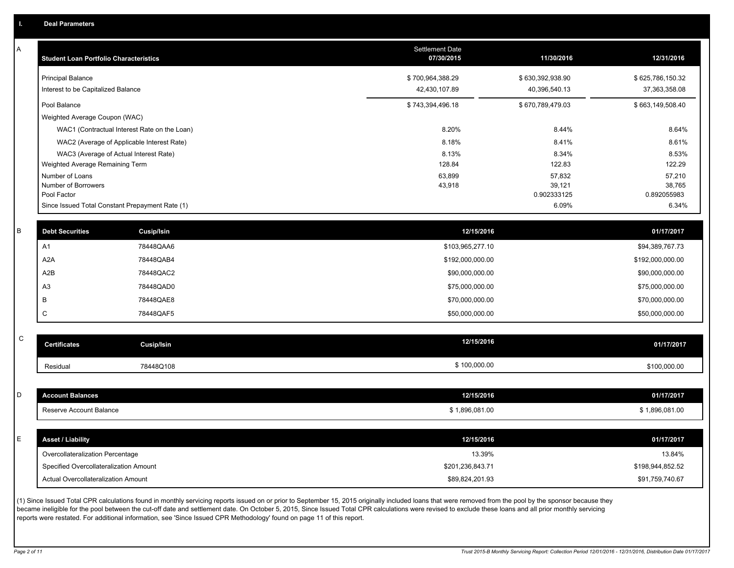A

| Α           | <b>Student Loan Portfolio Characteristics</b>           |                                                 | <b>Settlement Date</b><br>07/30/2015 | 11/30/2016       | 12/31/2016       |
|-------------|---------------------------------------------------------|-------------------------------------------------|--------------------------------------|------------------|------------------|
|             | <b>Principal Balance</b>                                |                                                 | \$700,964,388.29                     | \$630,392,938.90 | \$625,786,150.32 |
|             | Interest to be Capitalized Balance                      |                                                 | 42,430,107.89                        | 40,396,540.13    | 37,363,358.08    |
|             | Pool Balance                                            |                                                 | \$743,394,496.18                     | \$670,789,479.03 | \$663,149,508.40 |
|             | Weighted Average Coupon (WAC)                           |                                                 |                                      |                  |                  |
|             |                                                         | WAC1 (Contractual Interest Rate on the Loan)    | 8.20%                                | 8.44%            | 8.64%            |
|             |                                                         | WAC2 (Average of Applicable Interest Rate)      | 8.18%                                | 8.41%            | 8.61%            |
|             |                                                         | WAC3 (Average of Actual Interest Rate)          | 8.13%                                | 8.34%            | 8.53%            |
|             | Weighted Average Remaining Term                         |                                                 | 128.84                               | 122.83           | 122.29           |
|             | Number of Loans<br>Number of Borrowers                  |                                                 | 63,899<br>43,918                     | 57,832<br>39,121 | 57,210<br>38,765 |
|             | Pool Factor                                             |                                                 |                                      | 0.902333125      | 0.892055983      |
|             |                                                         | Since Issued Total Constant Prepayment Rate (1) |                                      | 6.09%            | 6.34%            |
|             |                                                         |                                                 |                                      |                  |                  |
| B           | <b>Debt Securities</b>                                  | Cusip/Isin                                      | 12/15/2016                           |                  | 01/17/2017       |
|             | A1                                                      | 78448QAA6                                       | \$103,965,277.10                     |                  | \$94,389,767.73  |
|             | A2A                                                     | 78448QAB4                                       | \$192,000,000.00                     |                  | \$192,000,000.00 |
|             | A2B                                                     | 78448QAC2                                       | \$90,000,000.00                      |                  | \$90,000,000.00  |
|             | A <sub>3</sub>                                          | 78448QAD0                                       | \$75,000,000.00                      |                  | \$75,000,000.00  |
|             | B                                                       | 78448QAE8                                       | \$70,000,000.00                      |                  | \$70,000,000.00  |
|             | C                                                       | 78448QAF5                                       | \$50,000,000.00                      |                  | \$50,000,000.00  |
|             |                                                         |                                                 |                                      |                  |                  |
| $\mathsf C$ | <b>Certificates</b>                                     | Cusip/Isin                                      | 12/15/2016                           |                  | 01/17/2017       |
|             | Residual                                                | 78448Q108                                       | \$100,000.00                         |                  | \$100,000.00     |
|             |                                                         |                                                 |                                      |                  |                  |
| D           | <b>Account Balances</b>                                 |                                                 | 12/15/2016                           |                  | 01/17/2017       |
|             | Reserve Account Balance                                 |                                                 | \$1,896,081.00                       |                  | \$1,896,081.00   |
|             |                                                         |                                                 |                                      |                  |                  |
| E           | <b>Asset / Liability</b>                                |                                                 | 12/15/2016                           |                  | 01/17/2017       |
|             | Overcollateralization Percentage                        |                                                 | 13.39%                               |                  | 13.84%           |
|             | Specified Overcollateralization Amount                  |                                                 | \$201,236,843.71                     |                  | \$198,944,852.52 |
|             | Actual Overcollateralization Amount                     |                                                 | \$89,824,201.93                      |                  | \$91,759,740.67  |
|             | $\overline{AB}$ and $\overline{AB}$ and $\overline{AB}$ |                                                 |                                      |                  |                  |

(1) Since Issued Total CPR calculations found in monthly servicing reports issued on or prior to September 15, 2015 originally included loans that were removed from the pool by the sponsor because they became ineligible for the pool between the cut-off date and settlement date. On October 5, 2015, Since Issued Total CPR calculations were revised to exclude these loans and all prior monthly servicing reports were restated. For additional information, see 'Since Issued CPR Methodology' found on page 11 of this report.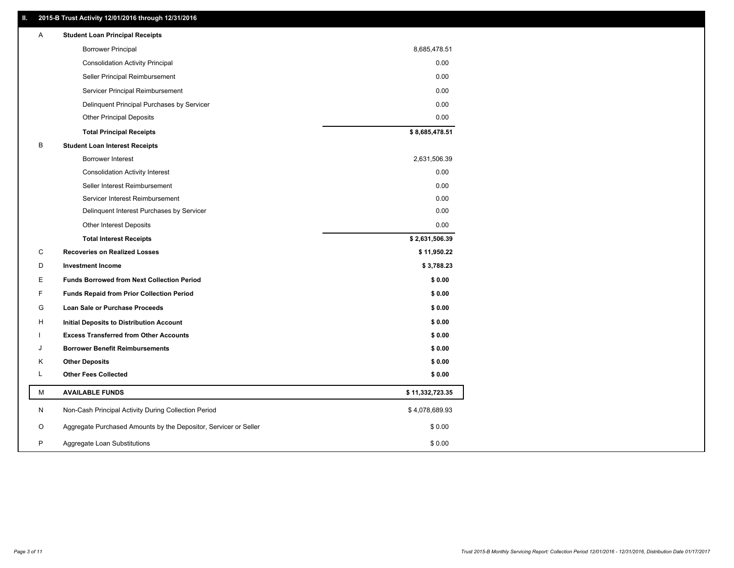## **II. 2015-B Trust Activity 12/01/2016 through 12/31/2016**

| Α | <b>Student Loan Principal Receipts</b>                           |                 |  |
|---|------------------------------------------------------------------|-----------------|--|
|   | <b>Borrower Principal</b>                                        | 8,685,478.51    |  |
|   | <b>Consolidation Activity Principal</b>                          | 0.00            |  |
|   | Seller Principal Reimbursement                                   | 0.00            |  |
|   | Servicer Principal Reimbursement                                 | 0.00            |  |
|   | Delinquent Principal Purchases by Servicer                       | 0.00            |  |
|   | <b>Other Principal Deposits</b>                                  | 0.00            |  |
|   | <b>Total Principal Receipts</b>                                  | \$8,685,478.51  |  |
| В | <b>Student Loan Interest Receipts</b>                            |                 |  |
|   | <b>Borrower Interest</b>                                         | 2,631,506.39    |  |
|   | <b>Consolidation Activity Interest</b>                           | 0.00            |  |
|   | Seller Interest Reimbursement                                    | 0.00            |  |
|   | Servicer Interest Reimbursement                                  | 0.00            |  |
|   | Delinquent Interest Purchases by Servicer                        | 0.00            |  |
|   | Other Interest Deposits                                          | 0.00            |  |
|   | <b>Total Interest Receipts</b>                                   | \$2,631,506.39  |  |
| C | <b>Recoveries on Realized Losses</b>                             | \$11,950.22     |  |
| D | <b>Investment Income</b>                                         | \$3,788.23      |  |
| Ε | <b>Funds Borrowed from Next Collection Period</b>                | \$0.00          |  |
| F | <b>Funds Repaid from Prior Collection Period</b>                 | \$0.00          |  |
| G | Loan Sale or Purchase Proceeds                                   | \$0.00          |  |
| H | Initial Deposits to Distribution Account                         | \$0.00          |  |
|   | <b>Excess Transferred from Other Accounts</b>                    | \$0.00          |  |
| J | <b>Borrower Benefit Reimbursements</b>                           | \$0.00          |  |
| Κ | <b>Other Deposits</b>                                            | \$0.00          |  |
| L | <b>Other Fees Collected</b>                                      | \$0.00          |  |
| М | <b>AVAILABLE FUNDS</b>                                           | \$11,332,723.35 |  |
| N | Non-Cash Principal Activity During Collection Period             | \$4,078,689.93  |  |
| O | Aggregate Purchased Amounts by the Depositor, Servicer or Seller | \$0.00          |  |
| P | Aggregate Loan Substitutions                                     | \$0.00          |  |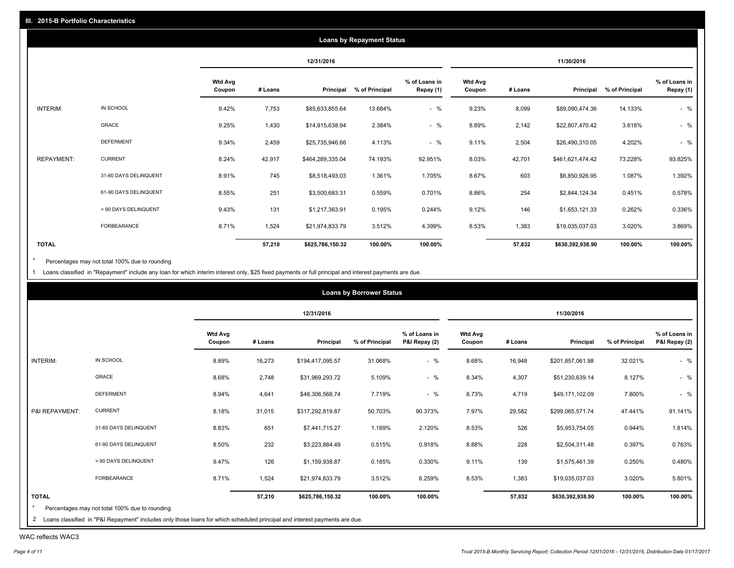|                   |                       |                          |         |                  | <b>Loans by Repayment Status</b> |                            |                          |         |                  |                |                            |
|-------------------|-----------------------|--------------------------|---------|------------------|----------------------------------|----------------------------|--------------------------|---------|------------------|----------------|----------------------------|
|                   |                       |                          |         | 12/31/2016       |                                  |                            |                          |         | 11/30/2016       |                |                            |
|                   |                       | <b>Wtd Avg</b><br>Coupon | # Loans | Principal        | % of Principal                   | % of Loans in<br>Repay (1) | <b>Wtd Avg</b><br>Coupon | # Loans | Principal        | % of Principal | % of Loans in<br>Repay (1) |
| INTERIM:          | IN SCHOOL             | 9.42%                    | 7,753   | \$85,633,855.64  | 13.684%                          | $-$ %                      | 9.23%                    | 8,099   | \$89,090,474.36  | 14.133%        | $-$ %                      |
|                   | GRACE                 | 9.25%                    | 1,430   | \$14,915,638.94  | 2.384%                           | $-$ %                      | 8.89%                    | 2,142   | \$22,807,470.42  | 3.618%         | $-$ %                      |
|                   | <b>DEFERMENT</b>      | 9.34%                    | 2,459   | \$25,735,946.66  | 4.113%                           | $-$ %                      | 9.11%                    | 2,504   | \$26,490,310.05  | 4.202%         | $-$ %                      |
| <b>REPAYMENT:</b> | <b>CURRENT</b>        | 8.24%                    | 42,917  | \$464,289,335.04 | 74.193%                          | 92.951%                    | 8.03%                    | 42,701  | \$461,621,474.42 | 73.228%        | 93.825%                    |
|                   | 31-60 DAYS DELINQUENT | 8.91%                    | 745     | \$8,518,493.03   | 1.361%                           | 1.705%                     | 8.67%                    | 603     | \$6,850,926.95   | 1.087%         | 1.392%                     |
|                   | 61-90 DAYS DELINQUENT | 8.55%                    | 251     | \$3,500,683.31   | 0.559%                           | 0.701%                     | 8.86%                    | 254     | \$2,844,124.34   | 0.451%         | 0.578%                     |
|                   | > 90 DAYS DELINQUENT  | 9.43%                    | 131     | \$1,217,363.91   | 0.195%                           | 0.244%                     | 9.12%                    | 146     | \$1,653,121.33   | 0.262%         | 0.336%                     |
|                   | <b>FORBEARANCE</b>    | 8.71%                    | 1,524   | \$21,974,833.79  | 3.512%                           | 4.399%                     | 8.53%                    | 1,383   | \$19,035,037.03  | 3.020%         | 3.869%                     |
| <b>TOTAL</b>      |                       |                          | 57,210  | \$625,786,150.32 | 100.00%                          | 100.00%                    |                          | 57,832  | \$630,392,938.90 | 100.00%        | 100.00%                    |

Percentages may not total 100% due to rounding  $^\star$ 

1 Loans classified in "Repayment" include any loan for which interim interest only, \$25 fixed payments or full principal and interest payments are due.

|                |                       |                          |         | 12/31/2016       |                |                                |                          |         | 11/30/2016       |                |                                |
|----------------|-----------------------|--------------------------|---------|------------------|----------------|--------------------------------|--------------------------|---------|------------------|----------------|--------------------------------|
|                |                       | <b>Wtd Avg</b><br>Coupon | # Loans | Principal        | % of Principal | % of Loans in<br>P&I Repay (2) | <b>Wtd Avg</b><br>Coupon | # Loans | Principal        | % of Principal | % of Loans in<br>P&I Repay (2) |
| INTERIM:       | IN SCHOOL             | 8.89%                    | 16,273  | \$194,417,095.57 | 31.068%        | $-$ %                          | 8.68%                    | 16,948  | \$201,857,061.98 | 32.021%        | $-$ %                          |
|                | GRACE                 | 8.68%                    | 2,748   | \$31,969,293.72  | 5.109%         | $-$ %                          | 8.34%                    | 4,307   | \$51,230,639.14  | 8.127%         | $-$ %                          |
|                | <b>DEFERMENT</b>      | 8.94%                    | 4,641   | \$48,306,568.74  | 7.719%         | $-$ %                          | 8.73%                    | 4,719   | \$49,171,102.09  | 7.800%         | $-$ %                          |
| P&I REPAYMENT: | <b>CURRENT</b>        | 8.18%                    | 31,015  | \$317,292,819.87 | 50.703%        | 90.373%                        | 7.97%                    | 29,582  | \$299,065,571.74 | 47.441%        | 91.141%                        |
|                | 31-60 DAYS DELINQUENT | 8.83%                    | 651     | \$7,441,715.27   | 1.189%         | 2.120%                         | 8.53%                    | 526     | \$5,953,754.05   | 0.944%         | 1.814%                         |
|                | 61-90 DAYS DELINQUENT | 8.50%                    | 232     | \$3,223,884.49   | 0.515%         | 0.918%                         | 8.88%                    | 228     | \$2,504,311.48   | 0.397%         | 0.763%                         |
|                | > 90 DAYS DELINQUENT  | 9.47%                    | 126     | \$1,159,938.87   | 0.185%         | 0.330%                         | 9.11%                    | 139     | \$1,575,461.39   | 0.250%         | 0.480%                         |
|                | FORBEARANCE           | 8.71%                    | 1,524   | \$21,974,833.79  | 3.512%         | 6.259%                         | 8.53%                    | 1,383   | \$19,035,037.03  | 3.020%         | 5.801%                         |
| <b>TOTAL</b>   |                       |                          | 57,210  | \$625,786,150.32 | 100.00%        | 100.00%                        |                          | 57,832  | \$630,392,938.90 | 100.00%        | 100.00%                        |

WAC reflects WAC3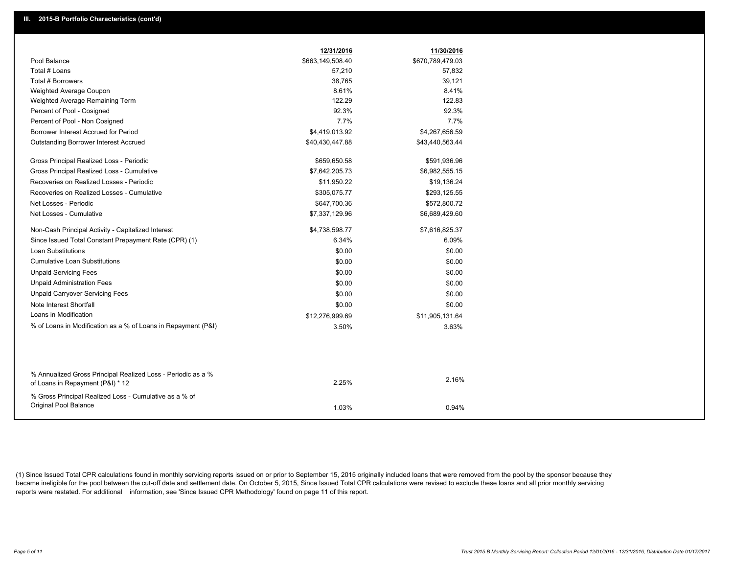|                                                                                                  | 12/31/2016       | 11/30/2016       |
|--------------------------------------------------------------------------------------------------|------------------|------------------|
| Pool Balance                                                                                     | \$663,149,508.40 | \$670,789,479.03 |
| Total # Loans                                                                                    | 57,210           | 57,832           |
| <b>Total # Borrowers</b>                                                                         | 38,765           | 39,121           |
| Weighted Average Coupon                                                                          | 8.61%            | 8.41%            |
| Weighted Average Remaining Term                                                                  | 122.29           | 122.83           |
| Percent of Pool - Cosigned                                                                       | 92.3%            | 92.3%            |
| Percent of Pool - Non Cosigned                                                                   | 7.7%             | 7.7%             |
| Borrower Interest Accrued for Period                                                             | \$4,419,013.92   | \$4,267,656.59   |
| Outstanding Borrower Interest Accrued                                                            | \$40,430,447.88  | \$43,440,563.44  |
| Gross Principal Realized Loss - Periodic                                                         | \$659,650.58     | \$591,936.96     |
| Gross Principal Realized Loss - Cumulative                                                       | \$7,642,205.73   | \$6,982,555.15   |
| Recoveries on Realized Losses - Periodic                                                         | \$11,950.22      | \$19,136.24      |
| Recoveries on Realized Losses - Cumulative                                                       | \$305,075.77     | \$293,125.55     |
| Net Losses - Periodic                                                                            | \$647,700.36     | \$572,800.72     |
| Net Losses - Cumulative                                                                          | \$7,337,129.96   | \$6,689,429.60   |
| Non-Cash Principal Activity - Capitalized Interest                                               | \$4,738,598.77   | \$7,616,825.37   |
| Since Issued Total Constant Prepayment Rate (CPR) (1)                                            | 6.34%            | 6.09%            |
| <b>Loan Substitutions</b>                                                                        | \$0.00           | \$0.00           |
| <b>Cumulative Loan Substitutions</b>                                                             | \$0.00           | \$0.00           |
| <b>Unpaid Servicing Fees</b>                                                                     | \$0.00           | \$0.00           |
| <b>Unpaid Administration Fees</b>                                                                | \$0.00           | \$0.00           |
| <b>Unpaid Carryover Servicing Fees</b>                                                           | \$0.00           | \$0.00           |
| Note Interest Shortfall                                                                          | \$0.00           | \$0.00           |
| Loans in Modification                                                                            | \$12,276,999.69  | \$11,905,131.64  |
| % of Loans in Modification as a % of Loans in Repayment (P&I)                                    | 3.50%            | 3.63%            |
|                                                                                                  |                  |                  |
|                                                                                                  |                  |                  |
| % Annualized Gross Principal Realized Loss - Periodic as a %<br>of Loans in Repayment (P&I) * 12 | 2.25%            | 2.16%            |
| % Gross Principal Realized Loss - Cumulative as a % of                                           |                  |                  |
| Original Pool Balance                                                                            | 1.03%            | 0.94%            |
|                                                                                                  |                  |                  |

(1) Since Issued Total CPR calculations found in monthly servicing reports issued on or prior to September 15, 2015 originally included loans that were removed from the pool by the sponsor because they became ineligible for the pool between the cut-off date and settlement date. On October 5, 2015, Since Issued Total CPR calculations were revised to exclude these loans and all prior monthly servicing reports were restated. For additional information, see 'Since Issued CPR Methodology' found on page 11 of this report.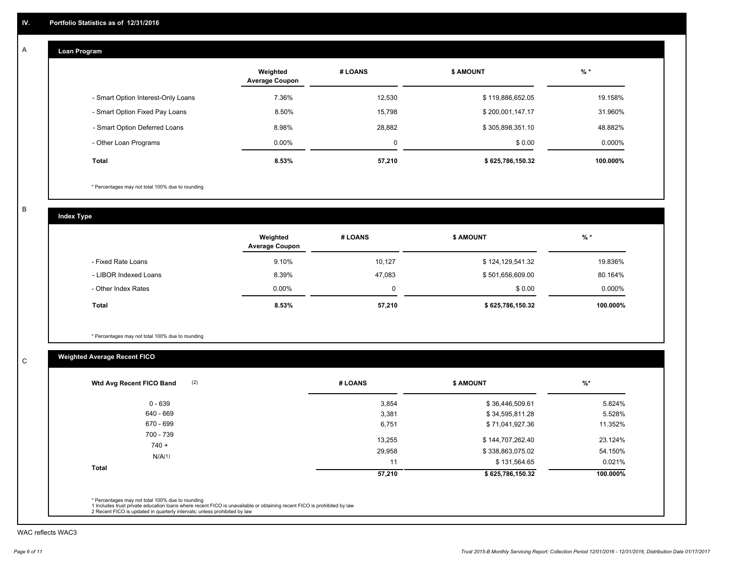#### **Loan Program**  A

|                                    | Weighted<br><b>Average Coupon</b> | # LOANS     | <b>\$ AMOUNT</b> | $%$ *     |
|------------------------------------|-----------------------------------|-------------|------------------|-----------|
| - Smart Option Interest-Only Loans | 7.36%                             | 12,530      | \$119,886,652.05 | 19.158%   |
| - Smart Option Fixed Pay Loans     | 8.50%                             | 15.798      | \$200,001,147.17 | 31.960%   |
| - Smart Option Deferred Loans      | 8.98%                             | 28.882      | \$305,898,351.10 | 48.882%   |
| - Other Loan Programs              | $0.00\%$                          | $\mathbf 0$ | \$0.00           | $0.000\%$ |
| <b>Total</b>                       | 8.53%                             | 57,210      | \$625,786,150.32 | 100.000%  |

\* Percentages may not total 100% due to rounding

B

C

**Index Type**

|                       | Weighted<br><b>Average Coupon</b> | # LOANS | <b>\$ AMOUNT</b> | $%$ *     |
|-----------------------|-----------------------------------|---------|------------------|-----------|
| - Fixed Rate Loans    | 9.10%                             | 10,127  | \$124,129,541.32 | 19.836%   |
| - LIBOR Indexed Loans | 8.39%                             | 47.083  | \$501,656,609.00 | 80.164%   |
| - Other Index Rates   | $0.00\%$                          |         | \$0.00           | $0.000\%$ |
| Total                 | 8.53%                             | 57,210  | \$625,786,150.32 | 100.000%  |

\* Percentages may not total 100% due to rounding

# **Weighted Average Recent FICO**

| (2)<br>Wtd Avg Recent FICO Band | # LOANS          | \$ AMOUNT                            | $%$ *              |
|---------------------------------|------------------|--------------------------------------|--------------------|
| $0 - 639$                       | 3,854            | \$36,446,509.61                      | 5.824%             |
| 640 - 669                       | 3,381            | \$34,595,811.28                      | 5.528%             |
| 670 - 699                       | 6,751            | \$71,041,927.36                      | 11.352%            |
| 700 - 739<br>$740 +$            | 13,255<br>29,958 | \$144,707,262.40<br>\$338,863,075.02 | 23.124%<br>54.150% |
| N/A(1)                          | 11               | \$131,564.65                         | 0.021%             |
| <b>Total</b>                    | 57,210           | \$625,786,150.32                     | 100.000%           |

WAC reflects WAC3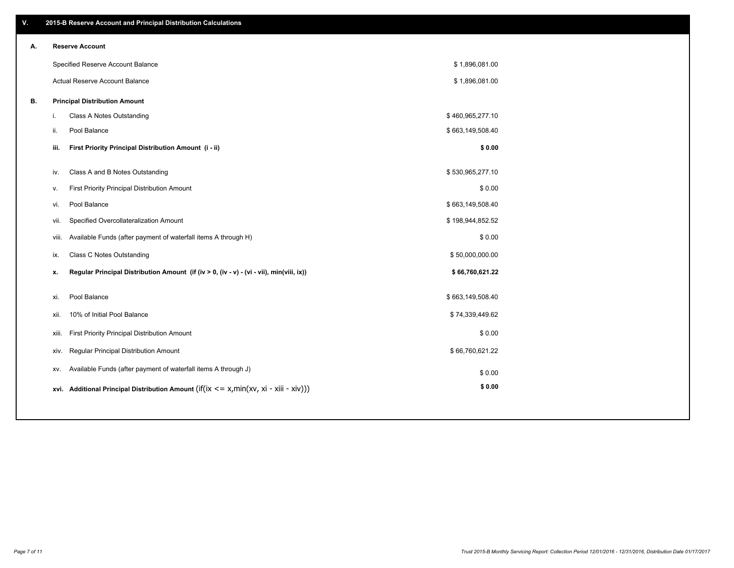| ۷. |      | 2015-B Reserve Account and Principal Distribution Calculations                             |                  |  |
|----|------|--------------------------------------------------------------------------------------------|------------------|--|
| А. |      | <b>Reserve Account</b>                                                                     |                  |  |
|    |      | Specified Reserve Account Balance                                                          | \$1,896,081.00   |  |
|    |      | Actual Reserve Account Balance                                                             | \$1,896,081.00   |  |
| В. |      | <b>Principal Distribution Amount</b>                                                       |                  |  |
|    | i.   | Class A Notes Outstanding                                                                  | \$460,965,277.10 |  |
|    | ii.  | Pool Balance                                                                               | \$663,149,508.40 |  |
|    | iii. | First Priority Principal Distribution Amount (i - ii)                                      | \$0.00           |  |
|    |      |                                                                                            |                  |  |
|    | iv.  | Class A and B Notes Outstanding                                                            | \$530,965,277.10 |  |
|    | v.   | First Priority Principal Distribution Amount                                               | \$0.00           |  |
|    | vi.  | Pool Balance                                                                               | \$663,149,508.40 |  |
|    |      | Specified Overcollateralization Amount<br>vii.                                             | \$198,944,852.52 |  |
|    |      | Available Funds (after payment of waterfall items A through H)<br>viii.                    | \$0.00           |  |
|    | ix.  | <b>Class C Notes Outstanding</b>                                                           | \$50,000,000.00  |  |
|    | x.   | Regular Principal Distribution Amount (if (iv > 0, (iv - v) - (vi - vii), min(viii, ix))   | \$66,760,621.22  |  |
|    | xi.  | Pool Balance                                                                               | \$663,149,508.40 |  |
|    | xii. | 10% of Initial Pool Balance                                                                | \$74,339,449.62  |  |
|    |      | First Priority Principal Distribution Amount<br>xiii.                                      | \$0.00           |  |
|    |      |                                                                                            |                  |  |
|    |      | Regular Principal Distribution Amount<br>XIV.                                              | \$66,760,621.22  |  |
|    |      | Available Funds (after payment of waterfall items A through J)<br>XV.                      | \$0.00           |  |
|    |      | xvi. Additional Principal Distribution Amount (if(ix $\lt$ = x, min(xv, xi - xiii - xiv))) | \$0.00           |  |
|    |      |                                                                                            |                  |  |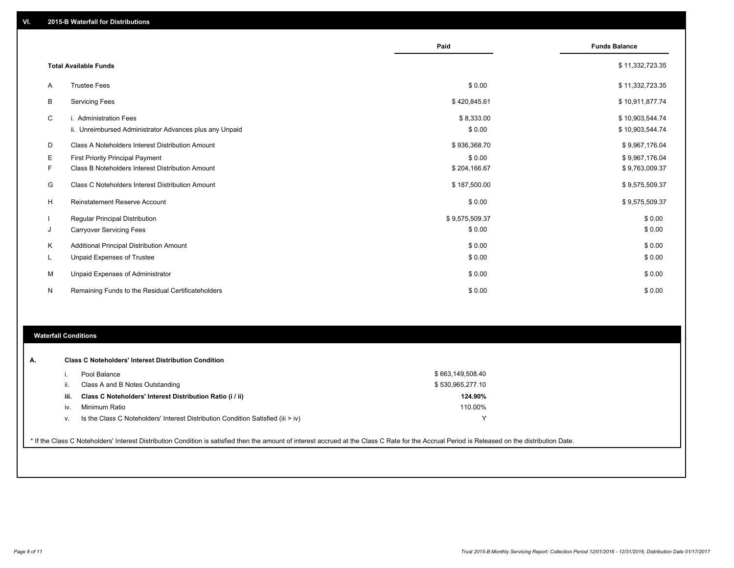|    |                                                                                   | Paid                 | <b>Funds Balance</b>               |
|----|-----------------------------------------------------------------------------------|----------------------|------------------------------------|
|    | <b>Total Available Funds</b>                                                      |                      | \$11,332,723.35                    |
| A  | <b>Trustee Fees</b>                                                               | \$0.00               | \$11,332,723.35                    |
| B  | <b>Servicing Fees</b>                                                             | \$420,845.61         | \$10,911,877.74                    |
| C  | i. Administration Fees<br>ii. Unreimbursed Administrator Advances plus any Unpaid | \$8,333.00<br>\$0.00 | \$10,903,544.74<br>\$10,903,544.74 |
| D  | Class A Noteholders Interest Distribution Amount                                  | \$936,368.70         | \$9,967,176.04                     |
| Е  | <b>First Priority Principal Payment</b>                                           | \$0.00               | \$9,967,176.04                     |
| F  | Class B Noteholders Interest Distribution Amount                                  | \$204,166.67         | \$9,763,009.37                     |
| G  | Class C Noteholders Interest Distribution Amount                                  | \$187,500.00         | \$9,575,509.37                     |
| н  | <b>Reinstatement Reserve Account</b>                                              | \$0.00               | \$9,575,509.37                     |
|    | <b>Regular Principal Distribution</b>                                             | \$9,575,509.37       | \$0.00                             |
| J  | <b>Carryover Servicing Fees</b>                                                   | \$0.00               | \$0.00                             |
| Κ  | Additional Principal Distribution Amount                                          | \$0.00               | \$0.00                             |
| ч. | <b>Unpaid Expenses of Trustee</b>                                                 | \$0.00               | \$0.00                             |
| М  | Unpaid Expenses of Administrator                                                  | \$0.00               | \$0.00                             |
| N  | Remaining Funds to the Residual Certificateholders                                | \$0.00               | \$0.00                             |

### **Waterfall Conditions**

|      | Pool Balance                                                                     | \$663,149,508.40 |  |
|------|----------------------------------------------------------------------------------|------------------|--|
| Ш.   | Class A and B Notes Outstanding                                                  | \$530,965,277.10 |  |
| iii. | Class C Noteholders' Interest Distribution Ratio (i / ii)                        | 124.90%          |  |
| IV.  | Minimum Ratio                                                                    | 110.00%          |  |
| v.   | Is the Class C Noteholders' Interest Distribution Condition Satisfied (iii > iv) |                  |  |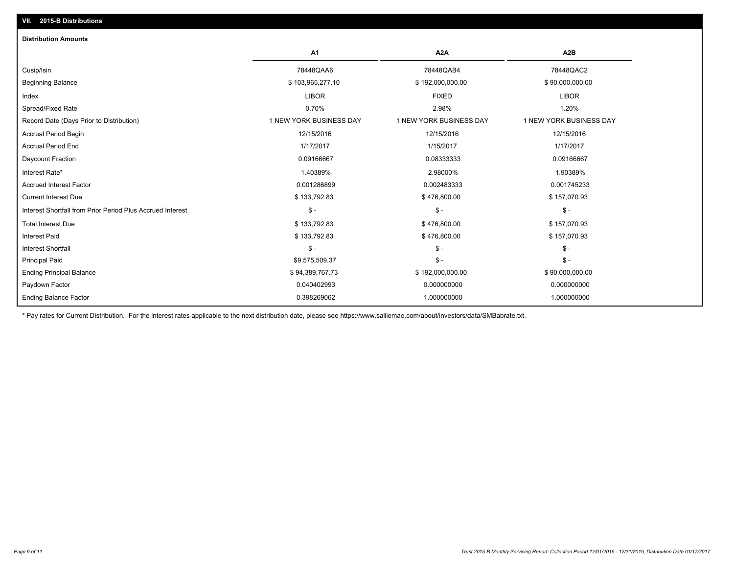| <b>Distribution Amounts</b>                                |                         |                         |                         |
|------------------------------------------------------------|-------------------------|-------------------------|-------------------------|
|                                                            | A1                      | A <sub>2</sub> A        | A <sub>2</sub> B        |
| Cusip/Isin                                                 | 78448QAA6               | 78448QAB4               | 78448QAC2               |
| <b>Beginning Balance</b>                                   | \$103,965,277.10        | \$192,000,000.00        | \$90,000,000.00         |
| Index                                                      | <b>LIBOR</b>            | <b>FIXED</b>            | <b>LIBOR</b>            |
| Spread/Fixed Rate                                          | 0.70%                   | 2.98%                   | 1.20%                   |
| Record Date (Days Prior to Distribution)                   | 1 NEW YORK BUSINESS DAY | 1 NEW YORK BUSINESS DAY | 1 NEW YORK BUSINESS DAY |
| <b>Accrual Period Begin</b>                                | 12/15/2016              | 12/15/2016              | 12/15/2016              |
| <b>Accrual Period End</b>                                  | 1/17/2017               | 1/15/2017               | 1/17/2017               |
| Daycount Fraction                                          | 0.09166667              | 0.08333333              | 0.09166667              |
| Interest Rate*                                             | 1.40389%                | 2.98000%                | 1.90389%                |
| <b>Accrued Interest Factor</b>                             | 0.001286899             | 0.002483333             | 0.001745233             |
| <b>Current Interest Due</b>                                | \$133,792.83            | \$476,800.00            | \$157,070.93            |
| Interest Shortfall from Prior Period Plus Accrued Interest | $\frac{1}{2}$           | $\mathsf{\$}$ -         | $\mathsf{\$}$ -         |
| <b>Total Interest Due</b>                                  | \$133,792.83            | \$476,800.00            | \$157,070.93            |
| <b>Interest Paid</b>                                       | \$133,792.83            | \$476,800.00            | \$157,070.93            |
| <b>Interest Shortfall</b>                                  | $\mathsf{\$}$ -         | $\mathsf{\$}$ -         | $\mathsf{\$}$ -         |
| <b>Principal Paid</b>                                      | \$9,575,509.37          | $\frac{2}{3}$ -         | $\mathsf{\$}$ -         |
| <b>Ending Principal Balance</b>                            | \$94,389,767.73         | \$192,000,000.00        | \$90,000,000.00         |
| Paydown Factor                                             | 0.040402993             | 0.000000000             | 0.000000000             |
| <b>Ending Balance Factor</b>                               | 0.398269062             | 1.000000000             | 1.000000000             |

\* Pay rates for Current Distribution. For the interest rates applicable to the next distribution date, please see https://www.salliemae.com/about/investors/data/SMBabrate.txt.

**VII. 2015-B Distributions**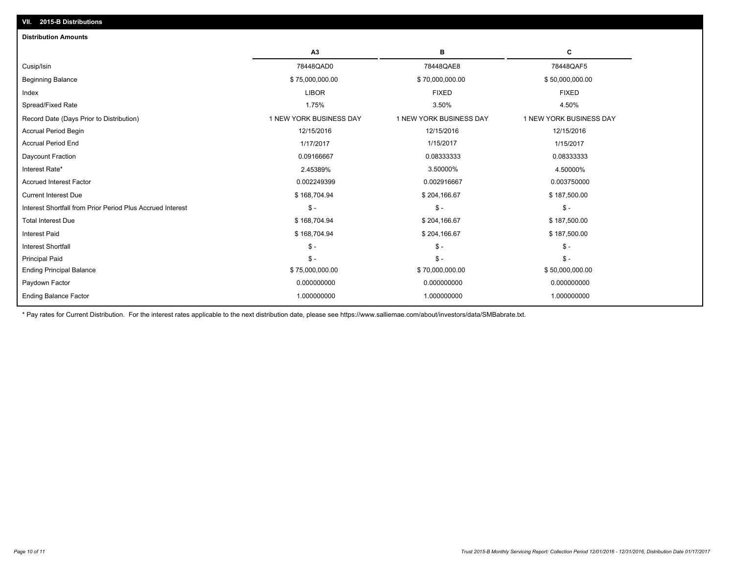| <b>Distribution Amounts</b>                                |                         |                         |                         |
|------------------------------------------------------------|-------------------------|-------------------------|-------------------------|
|                                                            | A3                      | в                       | С                       |
| Cusip/Isin                                                 | 78448QAD0               | 78448QAE8               | 78448QAF5               |
| <b>Beginning Balance</b>                                   | \$75,000,000.00         | \$70,000,000.00         | \$50,000,000.00         |
| Index                                                      | <b>LIBOR</b>            | <b>FIXED</b>            | <b>FIXED</b>            |
| Spread/Fixed Rate                                          | 1.75%                   | 3.50%                   | 4.50%                   |
| Record Date (Days Prior to Distribution)                   | 1 NEW YORK BUSINESS DAY | 1 NEW YORK BUSINESS DAY | 1 NEW YORK BUSINESS DAY |
| <b>Accrual Period Begin</b>                                | 12/15/2016              | 12/15/2016              | 12/15/2016              |
| <b>Accrual Period End</b>                                  | 1/17/2017               | 1/15/2017               | 1/15/2017               |
| Daycount Fraction                                          | 0.09166667              | 0.08333333              | 0.08333333              |
| Interest Rate*                                             | 2.45389%                | 3.50000%                | 4.50000%                |
| <b>Accrued Interest Factor</b>                             | 0.002249399             | 0.002916667             | 0.003750000             |
| <b>Current Interest Due</b>                                | \$168,704.94            | \$204,166.67            | \$187,500.00            |
| Interest Shortfall from Prior Period Plus Accrued Interest | $S -$                   | $\mathsf{\$}$ -         | $\mathsf{\$}$ -         |
| <b>Total Interest Due</b>                                  | \$168,704.94            | \$204,166.67            | \$187,500.00            |
| <b>Interest Paid</b>                                       | \$168,704.94            | \$204,166.67            | \$187,500.00            |
| <b>Interest Shortfall</b>                                  | $\mathsf{\$}$ -         | $\mathsf{\$}$ -         | $S -$                   |
| <b>Principal Paid</b>                                      | $\mathsf{\$}$ -         | $\mathsf{\$}$ -         | $S -$                   |
| <b>Ending Principal Balance</b>                            | \$75,000,000.00         | \$70,000,000.00         | \$50,000,000.00         |
| Paydown Factor                                             | 0.000000000             | 0.000000000             | 0.000000000             |
| <b>Ending Balance Factor</b>                               | 1.000000000             | 1.000000000             | 1.000000000             |
|                                                            |                         |                         |                         |

\* Pay rates for Current Distribution. For the interest rates applicable to the next distribution date, please see https://www.salliemae.com/about/investors/data/SMBabrate.txt.

**VII. 2015-B Distributions**